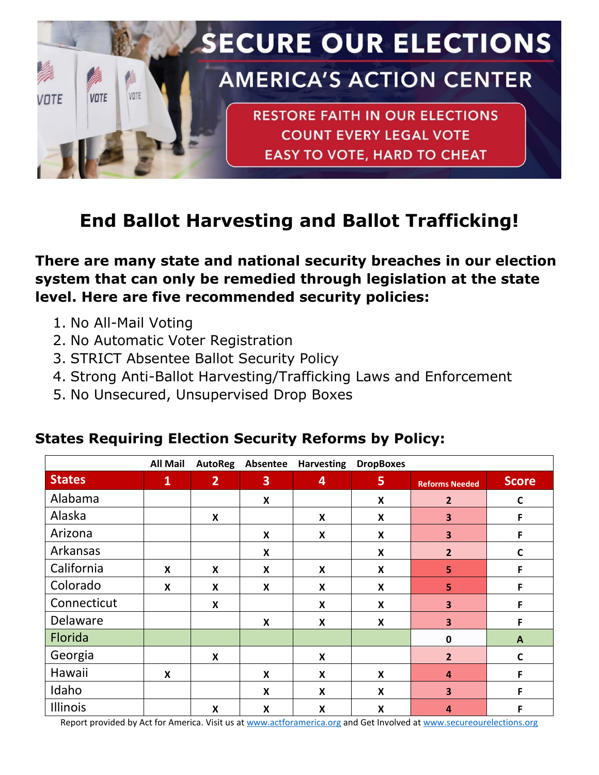

## **End Ballot Harvesting and Ballot Trafficking!**

**There are many state and national security breaches in our election system that can only be remedied through legislation at the state level. Here are five recommended security policies:**

- 1. No All-Mail Voting
- 2. No Automatic Voter Registration
- 3. STRICT Absentee Ballot Security Policy
- 4. Strong Anti-Ballot Harvesting/Trafficking Laws and Enforcement
- 5. No Unsecured, Unsupervised Drop Boxes

|               | <b>All Mail</b> | <b>AutoReg</b>            | Absentee                | <b>Harvesting</b>         | <b>DropBoxes</b>          |                         |              |
|---------------|-----------------|---------------------------|-------------------------|---------------------------|---------------------------|-------------------------|--------------|
| <b>States</b> | $\mathbf{1}$    | $\overline{2}$            | $\overline{\mathbf{3}}$ | 4                         | 5                         | <b>Reforms Needed</b>   | <b>Score</b> |
| Alabama       |                 |                           | X                       |                           | X                         | $\overline{2}$          | $\mathsf{C}$ |
| Alaska        |                 | $\boldsymbol{\mathsf{x}}$ |                         | X                         | X                         | $\overline{\mathbf{3}}$ | F            |
| Arizona       |                 |                           | X                       | X                         | X                         | 3                       | F            |
| Arkansas      |                 |                           | X                       |                           | X                         | $\overline{2}$          | $\mathsf{C}$ |
| California    | X               | X                         | X                       | X                         | $\boldsymbol{\mathsf{x}}$ | 5                       | F            |
| Colorado      | X               | X                         | X                       | X                         | X                         | 5                       | F            |
| Connecticut   |                 | $\boldsymbol{\mathsf{x}}$ |                         | X                         | X                         | $\overline{\mathbf{3}}$ | F            |
| Delaware      |                 |                           | X                       | X                         | $\boldsymbol{\mathsf{X}}$ | 3                       | F            |
| Florida       |                 |                           |                         |                           |                           | $\mathbf 0$             | $\mathbf{A}$ |
| Georgia       |                 | $\boldsymbol{\mathsf{x}}$ |                         | X                         |                           | $\overline{2}$          | $\mathbf c$  |
| Hawaii        | X               |                           | X                       | X                         | $\boldsymbol{x}$          | $\overline{4}$          | F            |
| Idaho         |                 |                           | X                       | X                         | X                         | 3                       | F            |
| Illinois      |                 | $\boldsymbol{\mathsf{x}}$ | X                       | $\boldsymbol{\mathsf{x}}$ | $\boldsymbol{\mathsf{X}}$ | $\boldsymbol{A}$        | F            |

## **States Requiring Election Security Reforms by Policy:**

Report provided by Act for America. Visit us at [www.actforamerica.org](http://www.actforamerica.org/) and Get Involved at [www.secureourelections.org](http://www.secureourelections.org/)